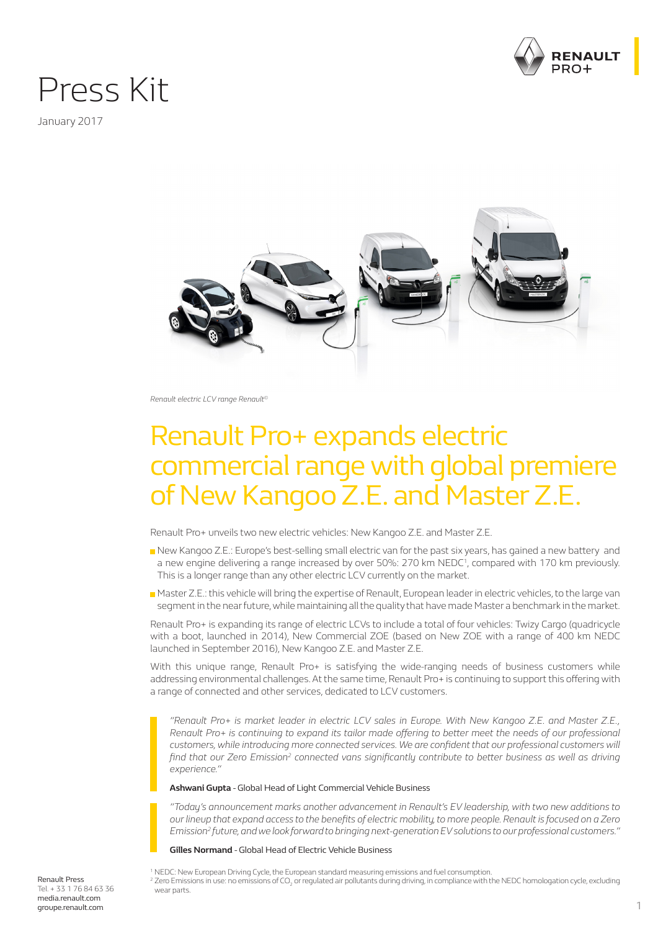

## Press Kit

January 2017



*Renault electric LCV range Renault©*

## Renault Pro+ expands electric commercial range with global premiere of New Kangoo Z.E. and Master Z.E.

Renault Pro+ unveils two new electric vehicles: New Kangoo Z.E. and Master Z.E.

- New Kangoo Z.E.: Europe's best-selling small electric van for the past six years, has gained a new battery and a new engine delivering a range increased by over 50%: 270 km NEDC<sup>1</sup>, compared with 170 km previously. This is a longer range than any other electric LCV currently on the market.
- Master Z.E.: this vehicle will bring the expertise of Renault, European leader in electric vehicles, to the large van segment in the near future, while maintaining all the quality that have made Master a benchmark in the market.

Renault Pro+ is expanding its range of electric LCVs to include a total of four vehicles: Twizy Cargo (quadricycle with a boot, launched in 2014), New Commercial ZOE (based on New ZOE with a range of 400 km NEDC launched in September 2016), New Kangoo Z.E. and Master Z.E.

With this unique range, Renault Pro+ is satisfying the wide-ranging needs of business customers while addressing environmental challenges. At the same time, Renault Pro+ is continuing to support this offering with a range of connected and other services, dedicated to LCV customers.

*"Renault Pro+ is market leader in electric LCV sales in Europe. With New Kangoo Z.E. and Master Z.E., Renault Pro+ is continuing to expand its tailor made offering to better meet the needs of our professional customers, while introducing more connected services. We are confident that our professional customers will find that our Zero Emission<sup>2</sup> connected vans significantly contribute to better business as well as driving experience."*

**Ashwani Gupta** - Global Head of Light Commercial Vehicle Business

*"Today's announcement marks another advancement in Renault's EV leadership, with two new additions to our lineup that expand access to the benefits of electric mobility, to more people. Renault is focused on a Zero Emission2 future, and we look forward to bringing next-generation EV solutions to our professional customers."*

**Gilles Normand** - Global Head of Electric Vehicle Business

1 NEDC: New European Driving Cycle, the European standard measuring emissions and fuel consumption.  $^2$  Zero Emissions in use: no emissions of CO<sub>2</sub> or regulated air pollutants during driving, in compliance with the NEDC homologation cycle, excluding wear parts.

Renault Press Tel. + 33 1 76 84 63 36 media.renault.com groupe.renault.com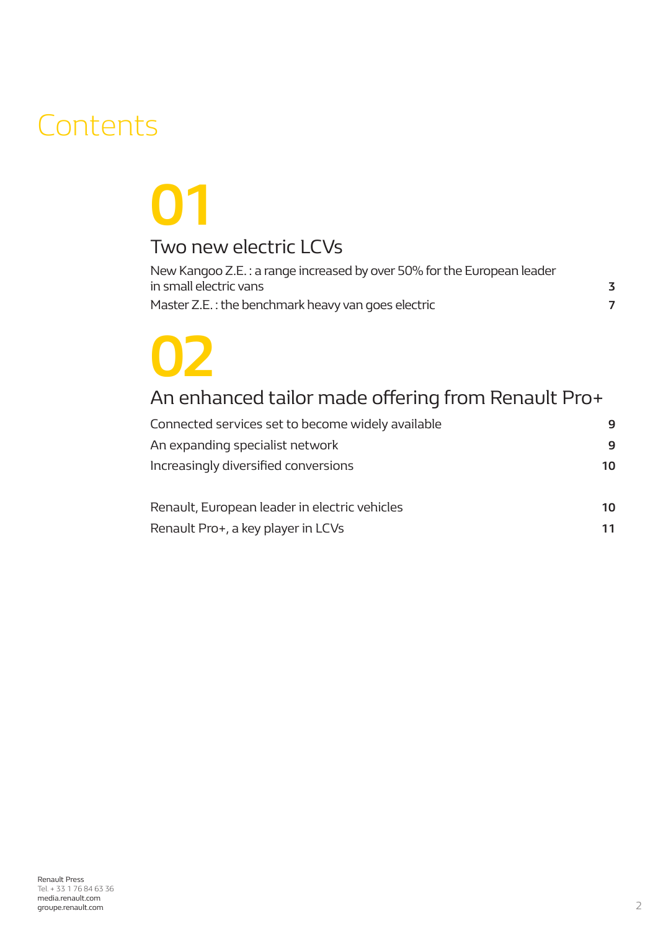## **Contents**

## **01** Two new electric LCVs

| New Kangoo Z.E.: a range increased by over 50% for the European leader |   |
|------------------------------------------------------------------------|---|
| in small electric vans                                                 | 3 |
| Master Z.E.: the benchmark heavy van goes electric                     |   |

# **02**

## An enhanced tailor made offering from Renault Pro+

| Connected services set to become widely available | 9  |
|---------------------------------------------------|----|
| An expanding specialist network                   | 9  |
| Increasingly diversified conversions              | 10 |
| Renault, European leader in electric vehicles     | 10 |

Renault Pro+, a key player in LCVs **11**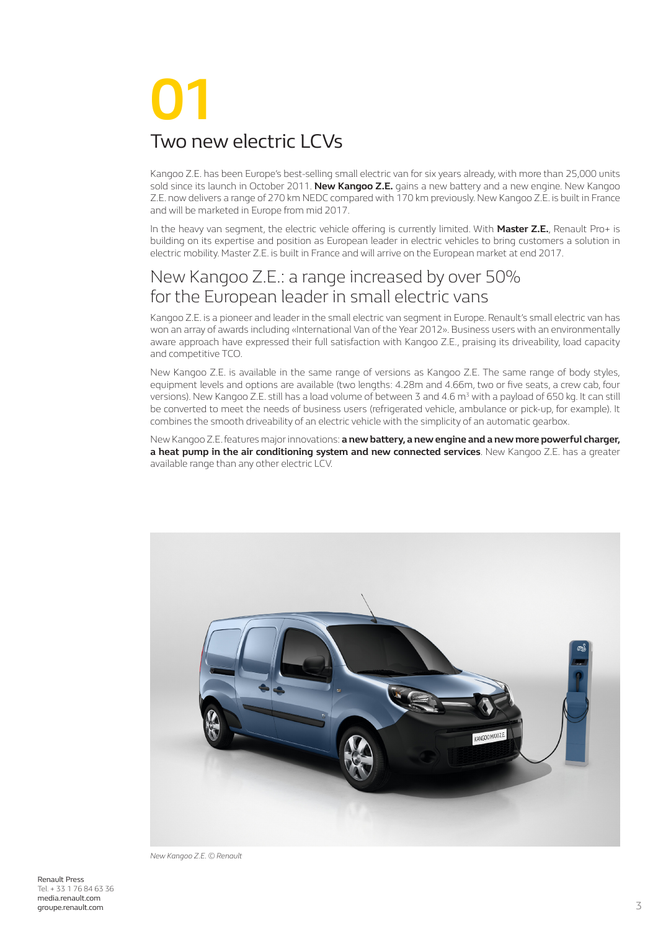## **01** Two new electric LCVs

Kangoo Z.E. has been Europe's best-selling small electric van for six years already, with more than 25,000 units sold since its launch in October 2011. **New Kangoo Z.E.** gains a new battery and a new engine. New Kangoo Z.E. now delivers a range of 270 km NEDC compared with 170 km previously. New Kangoo Z.E. is built in France and will be marketed in Europe from mid 2017.

In the heavy van segment, the electric vehicle offering is currently limited. With **Master Z.E.**, Renault Pro+ is building on its expertise and position as European leader in electric vehicles to bring customers a solution in electric mobility. Master Z.E. is built in France and will arrive on the European market at end 2017.

## New Kangoo Z.E.: a range increased by over 50% for the European leader in small electric vans

Kangoo Z.E. is a pioneer and leader in the small electric van segment in Europe. Renault's small electric van has won an array of awards including «International Van of the Year 2012». Business users with an environmentally aware approach have expressed their full satisfaction with Kangoo Z.E., praising its driveability, load capacity and competitive TCO.

New Kangoo Z.E. is available in the same range of versions as Kangoo Z.E. The same range of body styles, equipment levels and options are available (two lengths: 4.28m and 4.66m, two or five seats, a crew cab, four versions). New Kangoo Z.E. still has a load volume of between 3 and 4.6 m<sup>3</sup> with a payload of 650 kg. It can still be converted to meet the needs of business users (refrigerated vehicle, ambulance or pick-up, for example). It combines the smooth driveability of an electric vehicle with the simplicity of an automatic gearbox.

New Kangoo Z.E. features major innovations: **a new battery, a new engine and a new more powerful charger, a heat pump in the air conditioning system and new connected services**. New Kangoo Z.E. has a greater available range than any other electric LCV.



*New Kangoo Z.E. © Renault*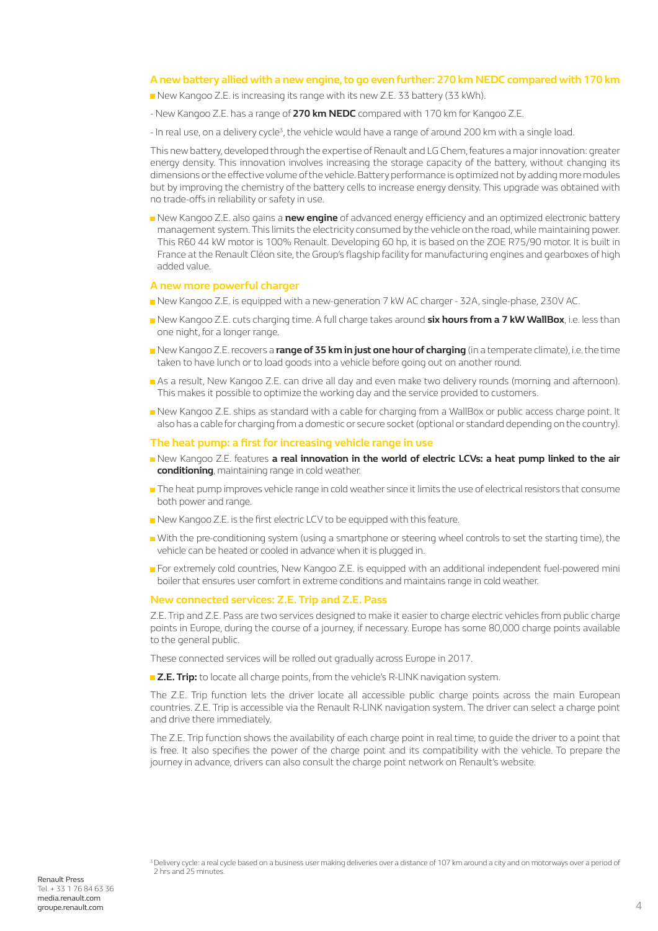#### **A new battery allied with a new engine, to go even further: 270 km NEDC compared with 170 km**

- New Kangoo Z.E. is increasing its range with its new Z.E. 33 battery (33 kWh).
- New Kangoo Z.E. has a range of **270 km NEDC** compared with 170 km for Kangoo Z.E.
- In real use, on a delivery cycle<sup>3</sup>, the vehicle would have a range of around 200 km with a single load.

This new battery, developed through the expertise of Renault and LG Chem, features a major innovation: greater energy density. This innovation involves increasing the storage capacity of the battery, without changing its dimensions or the effective volume of the vehicle. Battery performance is optimized not by adding more modules but by improving the chemistry of the battery cells to increase energy density. This upgrade was obtained with no trade-offs in reliability or safety in use.

New Kangoo Z.E. also gains a **new engine** of advanced energy efficiency and an optimized electronic battery management system. This limits the electricity consumed by the vehicle on the road, while maintaining power. This R60 44 kW motor is 100% Renault. Developing 60 hp, it is based on the ZOE R75/90 motor. It is built in France at the Renault Cléon site, the Group's flagship facility for manufacturing engines and gearboxes of high added value.

#### **A new more powerful charger**

- New Kangoo Z.E. is equipped with a new-generation 7 kW AC charger 32A, single-phase, 230V AC.
- New Kangoo Z.E. cuts charging time. A full charge takes around **six hours from a 7 kW WallBox**, i.e. less than one night, for a longer range.
- New Kangoo Z.E. recovers a **range of 35 km in just one hour of charging** (in a temperate climate), i.e. the time taken to have lunch or to load goods into a vehicle before going out on another round.
- As a result, New Kangoo Z.E. can drive all day and even make two delivery rounds (morning and afternoon). This makes it possible to optimize the working day and the service provided to customers.
- New Kangoo Z.E. ships as standard with a cable for charging from a WallBox or public access charge point. It also has a cable for charging from a domestic or secure socket (optional or standard depending on the country).

#### **The heat pump: a first for increasing vehicle range in use**

- New Kangoo Z.E. features **a real innovation in the world of electric LCVs: a heat pump linked to the air conditioning**, maintaining range in cold weather.
- The heat pump improves vehicle range in cold weather since it limits the use of electrical resistors that consume both power and range.
- New Kangoo Z.E. is the first electric LCV to be equipped with this feature.
- With the pre-conditioning system (using a smartphone or steering wheel controls to set the starting time), the vehicle can be heated or cooled in advance when it is plugged in.
- For extremely cold countries, New Kangoo Z.E. is equipped with an additional independent fuel-powered mini boiler that ensures user comfort in extreme conditions and maintains range in cold weather.

#### **New connected services: Z.E. Trip and Z.E. Pass**

Z.E. Trip and Z.E. Pass are two services designed to make it easier to charge electric vehicles from public charge points in Europe, during the course of a journey, if necessary. Europe has some 80,000 charge points available to the general public.

These connected services will be rolled out gradually across Europe in 2017.

**Z.E. Trip:** to locate all charge points, from the vehicle's R-LINK navigation system.

The Z.E. Trip function lets the driver locate all accessible public charge points across the main European countries. Z.E. Trip is accessible via the Renault R-LINK navigation system. The driver can select a charge point and drive there immediately.

The Z.E. Trip function shows the availability of each charge point in real time, to guide the driver to a point that is free. It also specifies the power of the charge point and its compatibility with the vehicle. To prepare the journey in advance, drivers can also consult the charge point network on Renault's website.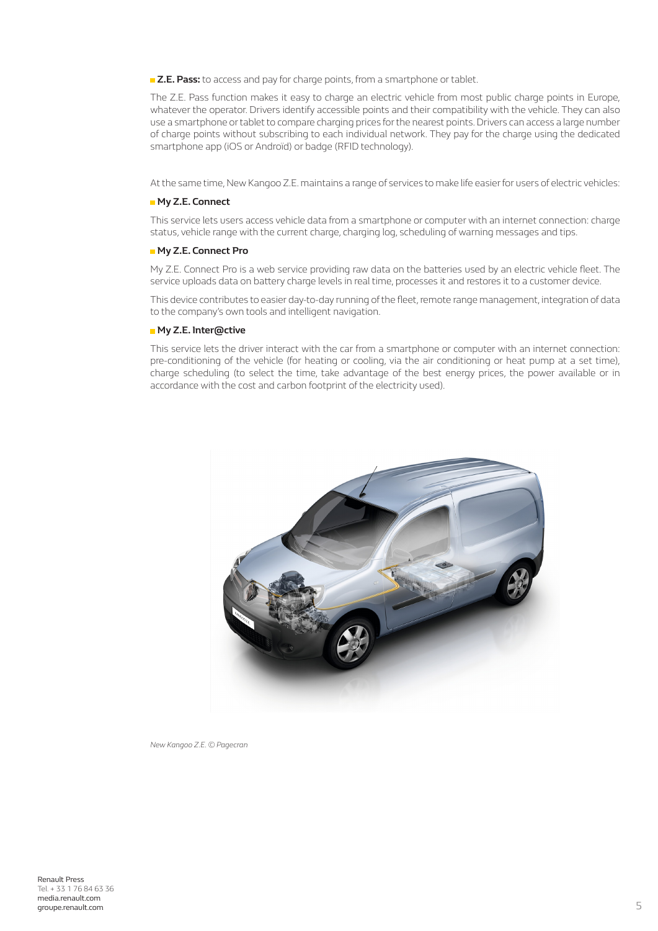**Z.E. Pass:** to access and pay for charge points, from a smartphone or tablet.

The Z.E. Pass function makes it easy to charge an electric vehicle from most public charge points in Europe, whatever the operator. Drivers identify accessible points and their compatibility with the vehicle. They can also use a smartphone or tablet to compare charging prices for the nearest points. Drivers can access a large number of charge points without subscribing to each individual network. They pay for the charge using the dedicated smartphone app (iOS or Androïd) or badge (RFID technology).

At the same time, New Kangoo Z.E. maintains a range of services to make life easier for users of electric vehicles:

#### **My Z.E. Connect**

This service lets users access vehicle data from a smartphone or computer with an internet connection: charge status, vehicle range with the current charge, charging log, scheduling of warning messages and tips.

#### **My Z.E. Connect Pro**

My Z.E. Connect Pro is a web service providing raw data on the batteries used by an electric vehicle fleet. The service uploads data on battery charge levels in real time, processes it and restores it to a customer device.

This device contributes to easier day-to-day running of the fleet, remote range management, integration of data to the company's own tools and intelligent navigation.

#### **My Z.E. Inter@ctive**

This service lets the driver interact with the car from a smartphone or computer with an internet connection: pre-conditioning of the vehicle (for heating or cooling, via the air conditioning or heat pump at a set time), charge scheduling (to select the time, take advantage of the best energy prices, the power available or in accordance with the cost and carbon footprint of the electricity used).



*New Kangoo Z.E. © Pagecran*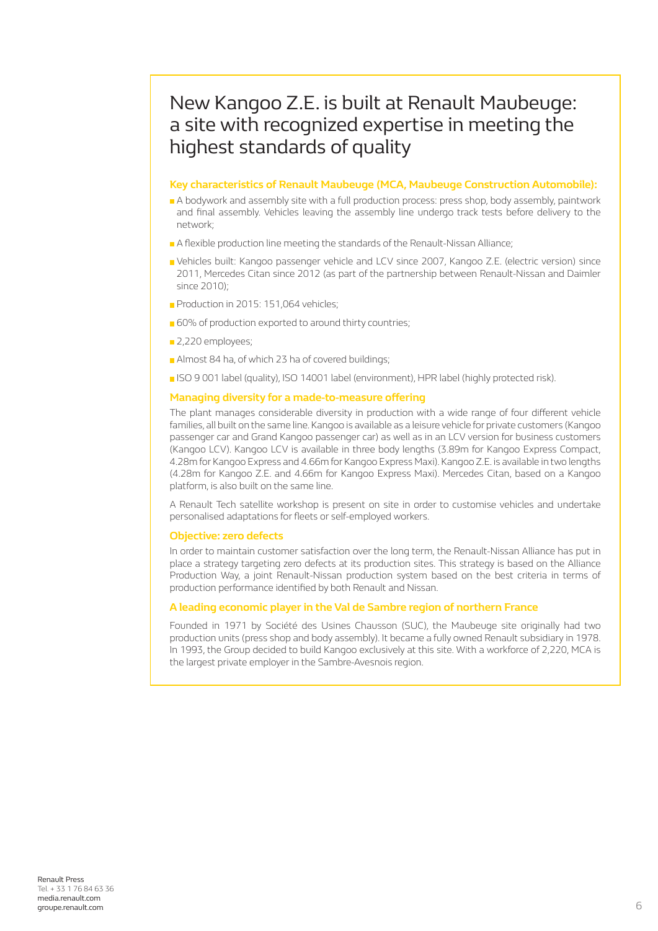## New Kangoo Z.E. is built at Renault Maubeuge: a site with recognized expertise in meeting the highest standards of quality

#### **Key characteristics of Renault Maubeuge (MCA, Maubeuge Construction Automobile):**

- A bodywork and assembly site with a full production process: press shop, body assembly, paintwork and final assembly. Vehicles leaving the assembly line undergo track tests before delivery to the network;
- A flexible production line meeting the standards of the Renault-Nissan Alliance;
- Vehicles built: Kangoo passenger vehicle and LCV since 2007, Kangoo Z.E. (electric version) since 2011, Mercedes Citan since 2012 (as part of the partnership between Renault-Nissan and Daimler since 2010);
- Production in 2015: 151,064 vehicles;
- 60% of production exported to around thirty countries;
- 2,220 employees;
- Almost 84 ha, of which 23 ha of covered buildings;
- ISO 9 001 label (quality), ISO 14001 label (environment), HPR label (highly protected risk).

#### **Managing diversity for a made-to-measure offering**

The plant manages considerable diversity in production with a wide range of four different vehicle families, all built on the same line. Kangoo is available as a leisure vehicle for private customers (Kangoo passenger car and Grand Kangoo passenger car) as well as in an LCV version for business customers (Kangoo LCV). Kangoo LCV is available in three body lengths (3.89m for Kangoo Express Compact, 4.28m for Kangoo Express and 4.66m for Kangoo Express Maxi). Kangoo Z.E. is available in two lengths (4.28m for Kangoo Z.E. and 4.66m for Kangoo Express Maxi). Mercedes Citan, based on a Kangoo platform, is also built on the same line.

A Renault Tech satellite workshop is present on site in order to customise vehicles and undertake personalised adaptations for fleets or self-employed workers.

#### **Objective: zero defects**

In order to maintain customer satisfaction over the long term, the Renault-Nissan Alliance has put in place a strategy targeting zero defects at its production sites. This strategy is based on the Alliance Production Way, a joint Renault-Nissan production system based on the best criteria in terms of production performance identified by both Renault and Nissan.

#### **A leading economic player in the Val de Sambre region of northern France**

Founded in 1971 by Société des Usines Chausson (SUC), the Maubeuge site originally had two production units (press shop and body assembly). It became a fully owned Renault subsidiary in 1978. In 1993, the Group decided to build Kangoo exclusively at this site. With a workforce of 2,220, MCA is the largest private employer in the Sambre-Avesnois region.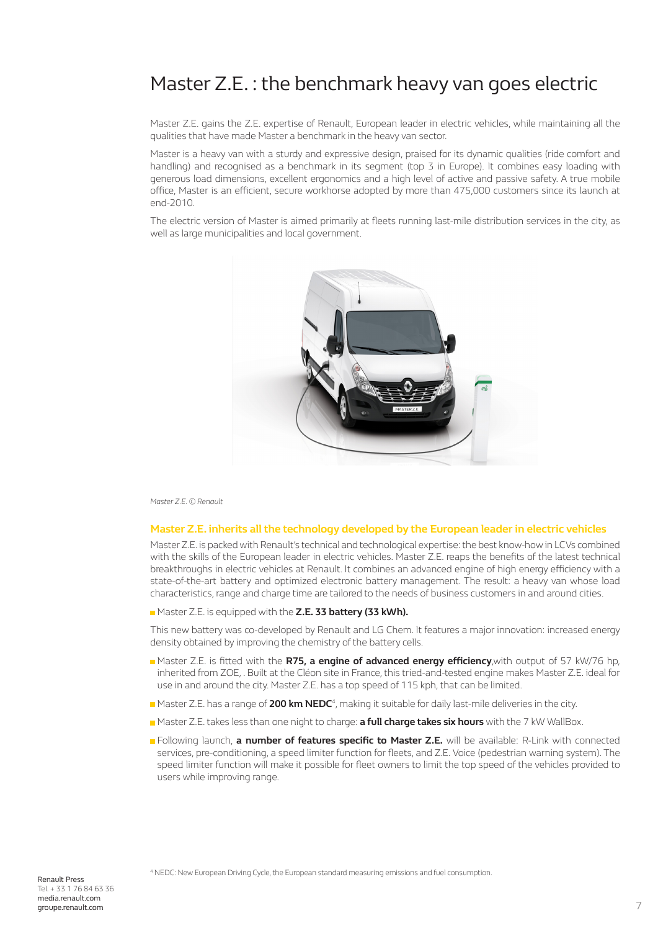## Master Z.E. : the benchmark heavy van goes electric

Master Z.E. gains the Z.E. expertise of Renault, European leader in electric vehicles, while maintaining all the qualities that have made Master a benchmark in the heavy van sector.

Master is a heavy van with a sturdy and expressive design, praised for its dynamic qualities (ride comfort and handling) and recognised as a benchmark in its segment (top 3 in Europe). It combines easy loading with generous load dimensions, excellent ergonomics and a high level of active and passive safety. A true mobile office, Master is an efficient, secure workhorse adopted by more than 475,000 customers since its launch at end-2010.

The electric version of Master is aimed primarily at fleets running last-mile distribution services in the city, as well as large municipalities and local government.



*Master Z.E. © Renault*

#### **Master Z.E. inherits all the technology developed by the European leader in electric vehicles**

Master Z.E. is packed with Renault's technical and technological expertise: the best know-how in LCVs combined with the skills of the European leader in electric vehicles. Master Z.E. reaps the benefits of the latest technical breakthroughs in electric vehicles at Renault. It combines an advanced engine of high energy efficiency with a state-of-the-art battery and optimized electronic battery management. The result: a heavy van whose load characteristics, range and charge time are tailored to the needs of business customers in and around cities.

Master Z.E. is equipped with the **Z.E. 33 battery (33 kWh).** 

This new battery was co-developed by Renault and LG Chem. It features a major innovation: increased energy density obtained by improving the chemistry of the battery cells.

- Master Z.E. is fitted with the **R75, a engine of advanced energy efficiency**,with output of 57 kW/76 hp, inherited from ZOE, . Built at the Cléon site in France, this tried-and-tested engine makes Master Z.E. ideal for use in and around the city. Master Z.E. has a top speed of 115 kph, that can be limited.
- Master Z.E. has a range of **200 km NEDC**<sup>4</sup>, making it suitable for daily last-mile deliveries in the city.
- Master Z.E. takes less than one night to charge: **a full charge takes six hours** with the 7 kW WallBox.
- Following launch, **a number of features specific to Master Z.E.** will be available: R-Link with connected services, pre-conditioning, a speed limiter function for fleets, and Z.E. Voice (pedestrian warning system). The speed limiter function will make it possible for fleet owners to limit the top speed of the vehicles provided to users while improving range.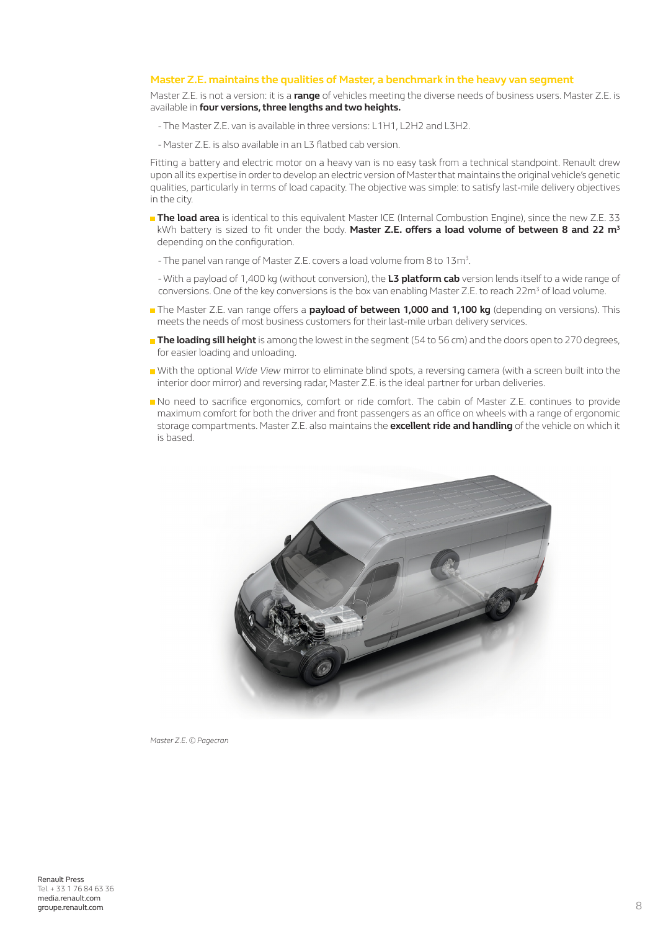#### **Master Z.E. maintains the qualities of Master, a benchmark in the heavy van segment**

Master Z.E. is not a version: it is a **range** of vehicles meeting the diverse needs of business users. Master Z.E. is available in **four versions, three lengths and two heights.**

- The Master Z.E. van is available in three versions: L1H1, L2H2 and L3H2.
- Master Z.E. is also available in an L3 flatbed cab version.

Fitting a battery and electric motor on a heavy van is no easy task from a technical standpoint. Renault drew upon all its expertise in order to develop an electric version of Master that maintains the original vehicle's genetic qualities, particularly in terms of load capacity. The objective was simple: to satisfy last-mile delivery objectives in the city.

- **The load area** is identical to this equivalent Master ICE (Internal Combustion Engine), since the new Z.E. 33 kWh battery is sized to fit under the body. **Master Z.E. offers a load volume of between 8 and 22 m<sup>3</sup>** depending on the configuration.
	- The panel van range of Master Z.E. covers a load volume from 8 to 13m<sup>3</sup>.
	- With a payload of 1,400 kg (without conversion), the **L3 platform cab** version lends itself to a wide range of conversions. One of the key conversions is the box van enabling Master Z.E. to reach  $22m<sup>3</sup>$  of load volume.
- **The Master Z.E. van range offers a <b>payload of between 1,000 and 1,100 kg** (depending on versions). This meets the needs of most business customers for their last-mile urban delivery services.
- **The loading sill height** is among the lowest in the segment (54 to 56 cm) and the doors open to 270 degrees, for easier loading and unloading.
- With the optional *Wide View* mirror to eliminate blind spots, a reversing camera (with a screen built into the interior door mirror) and reversing radar, Master Z.E. is the ideal partner for urban deliveries.
- No need to sacrifice ergonomics, comfort or ride comfort. The cabin of Master Z.E. continues to provide maximum comfort for both the driver and front passengers as an office on wheels with a range of ergonomic storage compartments. Master Z.E. also maintains the **excellent ride and handling** of the vehicle on which it is based.



*Master Z.E. © Pagecran*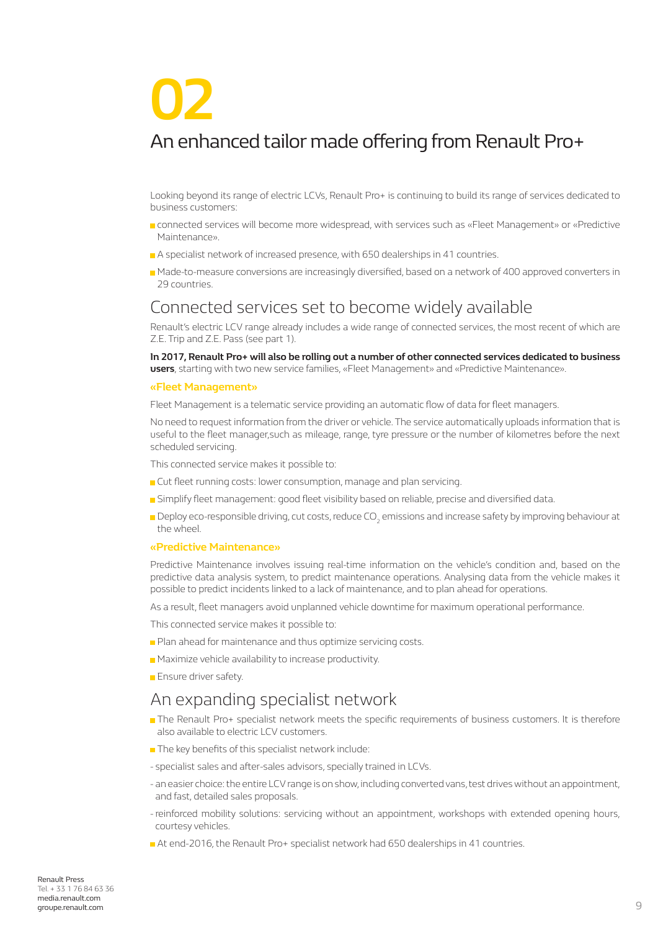# **02**

## An enhanced tailor made offering from Renault Pro+

Looking beyond its range of electric LCVs, Renault Pro+ is continuing to build its range of services dedicated to business customers:

- **n** connected services will become more widespread, with services such as «Fleet Management» or «Predictive Maintenance».
- A specialist network of increased presence, with 650 dealerships in 41 countries.
- Made-to-measure conversions are increasingly diversified, based on a network of 400 approved converters in 29 countries.

### Connected services set to become widely available

Renault's electric LCV range already includes a wide range of connected services, the most recent of which are Z.E. Trip and Z.E. Pass (see part 1).

**In 2017, Renault Pro+ will also be rolling out a number of other connected services dedicated to business users**, starting with two new service families, «Fleet Management» and «Predictive Maintenance».

#### **«Fleet Management»**

Fleet Management is a telematic service providing an automatic flow of data for fleet managers.

No need to request information from the driver or vehicle. The service automatically uploads information that is useful to the fleet manager,such as mileage, range, tyre pressure or the number of kilometres before the next scheduled servicing.

This connected service makes it possible to:

- **Cut fleet running costs: lower consumption, manage and plan servicing.**
- Simplify fleet management: good fleet visibility based on reliable, precise and diversified data.
- Deploy eco-responsible driving, cut costs, reduce CO<sub>2</sub> emissions and increase safety by improving behaviour at the wheel.

#### **«Predictive Maintenance»**

Predictive Maintenance involves issuing real-time information on the vehicle's condition and, based on the predictive data analysis system, to predict maintenance operations. Analysing data from the vehicle makes it possible to predict incidents linked to a lack of maintenance, and to plan ahead for operations.

As a result, fleet managers avoid unplanned vehicle downtime for maximum operational performance.

This connected service makes it possible to:

- **Plan ahead for maintenance and thus optimize servicing costs.**
- **Maximize vehicle availability to increase productivity.**
- **Ensure driver safety.**

### An expanding specialist network

- The Renault Pro+ specialist network meets the specific requirements of business customers. It is therefore also available to electric LCV customers.
- The key benefits of this specialist network include:
- specialist sales and after-sales advisors, specially trained in LCVs.
- an easier choice: the entire LCV range is on show, including converted vans, test drives without an appointment, and fast, detailed sales proposals.
- reinforced mobility solutions: servicing without an appointment, workshops with extended opening hours, courtesy vehicles.
- At end-2016, the Renault Pro+ specialist network had 650 dealerships in 41 countries.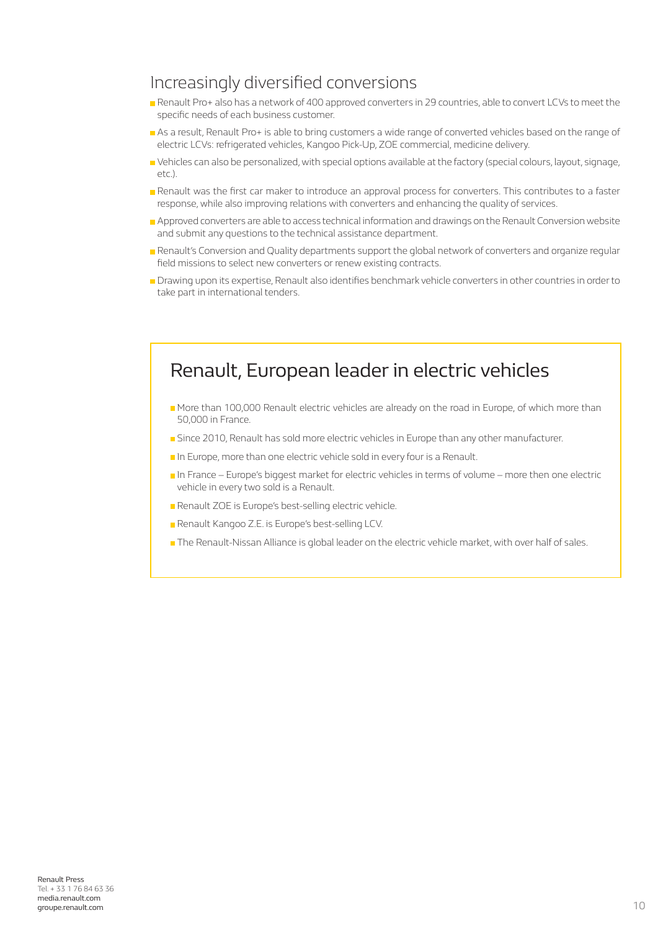### Increasingly diversified conversions

- Renault Pro+ also has a network of 400 approved converters in 29 countries, able to convert LCVs to meet the specific needs of each business customer.
- As a result, Renault Pro+ is able to bring customers a wide range of converted vehicles based on the range of electric LCVs: refrigerated vehicles, Kangoo Pick-Up, ZOE commercial, medicine delivery.
- Vehicles can also be personalized, with special options available at the factory (special colours, layout, signage, etc.).
- Renault was the first car maker to introduce an approval process for converters. This contributes to a faster response, while also improving relations with converters and enhancing the quality of services.
- **Approved converters are able to access technical information and drawings on the Renault Conversion website** and submit any questions to the technical assistance department.
- **Renault's Conversion and Quality departments support the global network of converters and organize regular** field missions to select new converters or renew existing contracts.
- Drawing upon its expertise, Renault also identifies benchmark vehicle converters in other countries in order to take part in international tenders.

## Renault, European leader in electric vehicles

- More than 100,000 Renault electric vehicles are already on the road in Europe, of which more than 50,000 in France.
- **Since 2010, Renault has sold more electric vehicles in Europe than any other manufacturer.**
- In Europe, more than one electric vehicle sold in every four is a Renault.
- In France Europe's biggest market for electric vehicles in terms of volume more then one electric vehicle in every two sold is a Renault.
- **Renault ZOE is Europe's best-selling electric vehicle.**
- Renault Kangoo Z.E. is Europe's best-selling LCV.
- **The Renault-Nissan Alliance is global leader on the electric vehicle market, with over half of sales.**